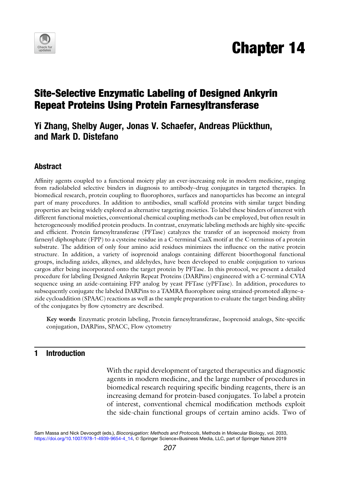

# Site-Selective Enzymatic Labeling of Designed Ankyrin Repeat Proteins Using Protein Farnesyltransferase

## Yi Zhang, Shelby Auger, Jonas V. Schaefer, Andreas Plückthun, and Mark D. Distefano

### Abstract

Affinity agents coupled to a functional moiety play an ever-increasing role in modern medicine, ranging from radiolabeled selective binders in diagnosis to antibody–drug conjugates in targeted therapies. In biomedical research, protein coupling to fluorophores, surfaces and nanoparticles has become an integral part of many procedures. In addition to antibodies, small scaffold proteins with similar target binding properties are being widely explored as alternative targeting moieties. To label these binders of interest with different functional moieties, conventional chemical coupling methods can be employed, but often result in heterogeneously modified protein products. In contrast, enzymatic labeling methods are highly site-specific and efficient. Protein farnesyltransferase (PFTase) catalyzes the transfer of an isoprenoid moiety from farnesyl diphosphate (FPP) to a cysteine residue in a C-terminal CaaX motif at the C-terminus of a protein substrate. The addition of only four amino acid residues minimizes the influence on the native protein structure. In addition, a variety of isoprenoid analogs containing different bioorthogonal functional groups, including azides, alkynes, and aldehydes, have been developed to enable conjugation to various cargos after being incorporated onto the target protein by PFTase. In this protocol, we present a detailed procedure for labeling Designed Ankyrin Repeat Proteins (DARPins) engineered with a C-terminal CVIA sequence using an azide-containing FPP analog by yeast PFTase (yPFTase). In addition, procedures to subsequently conjugate the labeled DARPins to a TAMRA fluorophore using strained-promoted alkyne–azide cycloaddition (SPAAC) reactions as well as the sample preparation to evaluate the target binding ability of the conjugates by flow cytometry are described.

Key words Enzymatic protein labeling, Protein farnesyltransferase, Isoprenoid analogs, Site-specific conjugation, DARPins, SPACC, Flow cytometry

#### 1 Introduction

With the rapid development of targeted therapeutics and diagnostic agents in modern medicine, and the large number of procedures in biomedical research requiring specific binding reagents, there is an increasing demand for protein-based conjugates. To label a protein of interest, conventional chemical modification methods exploit the side-chain functional groups of certain amino acids. Two of

Sam Massa and Nick Devoogdt (eds.), Bioconjugation: Methods and Protocols, Methods in Molecular Biology, vol. 2033, https://doi.org/10.1007/978-1-4939-9654-4\_14, © Springer Science+Business Media, LLC, part of Springer Nature 2019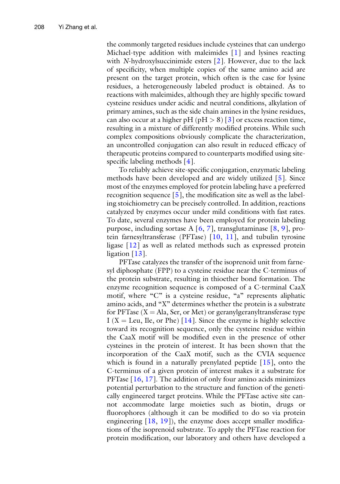the commonly targeted residues include cysteines that can undergo Michael-type addition with maleimides [1] and lysines reacting with *N*-hydroxylsuccinimide esters  $[2]$ . However, due to the lack of specificity, when multiple copies of the same amino acid are present on the target protein, which often is the case for lysine residues, a heterogeneously labeled product is obtained. As to reactions with maleimides, although they are highly specific toward cysteine residues under acidic and neutral conditions, alkylation of primary amines, such as the side chain amines in the lysine residues, can also occur at a higher pH (pH  $> 8$ ) [3] or excess reaction time, resulting in a mixture of differently modified proteins. While such complex compositions obviously complicate the characterization, an uncontrolled conjugation can also result in reduced efficacy of therapeutic proteins compared to counterparts modified using sitespecific labeling methods  $[4]$ .

To reliably achieve site-specific conjugation, enzymatic labeling methods have been developed and are widely utilized [5]. Since most of the enzymes employed for protein labeling have a preferred recognition sequence  $[5]$ , the modification site as well as the labeling stoichiometry can be precisely controlled. In addition, reactions catalyzed by enzymes occur under mild conditions with fast rates. To date, several enzymes have been employed for protein labeling purpose, including sortase A  $[6, 7]$ , transglutaminase  $[8, 9]$ , protein farnesyltransferase (PFTase) [10, 11], and tubulin tyrosine ligase [12] as well as related methods such as expressed protein ligation  $|13|$ .

PFTase catalyzes the transfer of the isoprenoid unit from farnesyl diphosphate (FPP) to a cysteine residue near the C-terminus of the protein substrate, resulting in thioether bond formation. The enzyme recognition sequence is composed of a C-terminal CaaX motif, where "C" is a cysteine residue, "a" represents aliphatic amino acids, and "X" determines whether the protein is a substrate for PFTase  $(X = Ala, Ser, or Met)$  or geranylgeranyltransferase type I ( $X = \text{Leu}$ , Ile, or Phe) [14]. Since the enzyme is highly selective toward its recognition sequence, only the cysteine residue within the CaaX motif will be modified even in the presence of other cysteines in the protein of interest. It has been shown that the incorporation of the CaaX motif, such as the CVIA sequence which is found in a naturally prenylated peptide  $[15]$ , onto the C-terminus of a given protein of interest makes it a substrate for PFTase [16, 17]. The addition of only four amino acids minimizes potential perturbation to the structure and function of the genetically engineered target proteins. While the PFTase active site cannot accommodate large moieties such as biotin, drugs or fluorophores (although it can be modified to do so via protein engineering  $[18, 19]$ , the enzyme does accept smaller modifications of the isoprenoid substrate. To apply the PFTase reaction for protein modification, our laboratory and others have developed a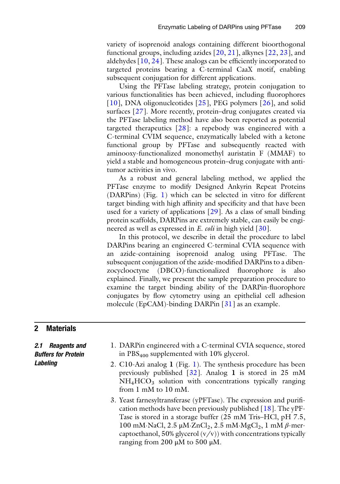variety of isoprenoid analogs containing different bioorthogonal functional groups, including azides [20, 21], alkynes [22, 23], and aldehydes  $[10, 24]$ . These analogs can be efficiently incorporated to targeted proteins bearing a C-terminal CaaX motif, enabling subsequent conjugation for different applications.

Using the PFTase labeling strategy, protein conjugation to various functionalities has been achieved, including fluorophores [10], DNA oligonucleotides [25], PEG polymers [26], and solid surfaces [27]. More recently, protein–drug conjugates created via the PFTase labeling method have also been reported as potential targeted therapeutics  $[28]$ : a repebody was engineered with a C-terminal CVIM sequence, enzymatically labeled with a ketone functional group by PFTase and subsequently reacted with aminooxy-functionalized monomethyl auristatin F (MMAF) to yield a stable and homogeneous protein–drug conjugate with antitumor activities in vivo.

As a robust and general labeling method, we applied the PFTase enzyme to modify Designed Ankyrin Repeat Proteins (DARPins) (Fig. 1) which can be selected in vitro for different target binding with high affinity and specificity and that have been used for a variety of applications [29]. As a class of small binding protein scaffolds, DARPins are extremely stable, can easily be engineered as well as expressed in E. *coli* in high yield [30].

In this protocol, we describe in detail the procedure to label DARPins bearing an engineered C-terminal CVIA sequence with an azide-containing isoprenoid analog using PFTase. The subsequent conjugation of the azide-modified DARPins to a dibenzocyclooctyne (DBCO)-functionalized fluorophore is also explained. Finally, we present the sample preparation procedure to examine the target binding ability of the DARPin-fluorophore conjugates by flow cytometry using an epithelial cell adhesion molecule (EpCAM)-binding DARPin [31] as an example.

#### 2 Materials

#### 2.1 Reagents and Buffers for Protein Labeling

- 1. DARPin engineered with a C-terminal CVIA sequence, stored in  $PBS<sub>400</sub>$  supplemented with 10% glycerol.
- 2. C10-Azi analog 1 (Fig. 1). The synthesis procedure has been previously published [32]. Analog 1 is stored in 25 mM  $NH<sub>4</sub>HCO<sub>3</sub>$  solution with concentrations typically ranging from 1 mM to 10 mM.
- 3. Yeast farnesyltransferase (yPFTase). The expression and purification methods have been previously published  $[18]$ . The yPF-Tase is stored in a storage buffer (25 mM Tris–HCl, pH 7.5, 100 mM·NaCl, 2.5 μM·ZnCl<sub>2</sub>, 2.5 mM·MgCl<sub>2</sub>, 1 mM β-mercaptoethanol, 50% glycerol  $(v/v)$ ) with concentrations typically ranging from 200 μM to 500 μM.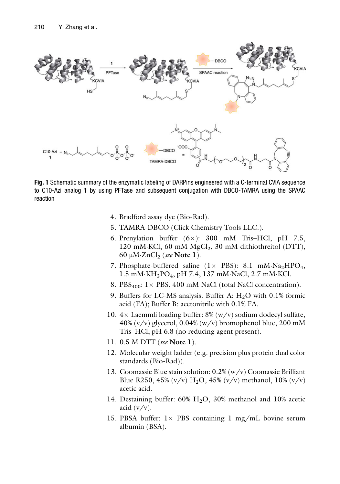

Fig. 1 Schematic summary of the enzymatic labeling of DARPins engineered with a C-terminal CVIA sequence to C10-Azi analog 1 by using PFTase and subsequent conjugation with DBCO-TAMRA using the SPAAC reaction

- 4. Bradford assay dye (Bio-Rad).
- 5. TAMRA-DBCO (Click Chemistry Tools LLC.).
- 6. Prenylation buffer  $(6\times)$ : 300 mM Tris–HCl, pH 7.5, 120 mM·KCl, 60 mM  $MgCl<sub>2</sub>$ , 30 mM dithiothreitol (DTT), 60 μM·ZnCl<sub>2</sub> (see Note 1).
- 7. Phosphate-buffered saline  $(1 \times$  PBS): 8.1 mM·Na<sub>2</sub>HPO<sub>4</sub>, 1.5 mM·KH2PO4, pH 7.4, 137 mM·NaCl, 2.7 mM·KCl.
- 8.  $\text{PBS}_{400}$ :  $1 \times \text{PBS}, 400 \text{ mM NaCl}$  (total NaCl concentration).
- 9. Buffers for LC-MS analysis. Buffer A:  $H<sub>2</sub>O$  with 0.1% formic acid (FA); Buffer B: acetonitrile with 0.1% FA.
- 10.  $4 \times$  Laemmli loading buffer: 8% (w/v) sodium dodecyl sulfate,  $40\%$  (v/v) glycerol, 0.04% (w/v) bromophenol blue, 200 mM Tris–HCl, pH 6.8 (no reducing agent present).
- 11. 0.5 M DTT (see Note 1).
- 12. Molecular weight ladder (e.g. precision plus protein dual color standards (Bio-Rad)).
- 13. Coomassie Blue stain solution: 0.2% (w/v) Coomassie Brilliant Blue R250, 45% (v/v) H<sub>2</sub>O, 45% (v/v) methanol, 10% (v/v) acetic acid.
- 14. Destaining buffer:  $60\%$   $H<sub>2</sub>O$ ,  $30\%$  methanol and  $10\%$  acetic acid  $(v/v)$ .
- 15. PBSA buffer:  $1 \times$  PBS containing 1 mg/mL bovine serum albumin (BSA).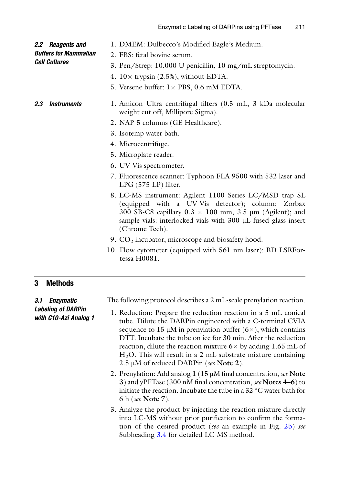| 2.2 Reagents and<br><b>Buffers for Mammalian</b><br><b>Cell Cultures</b> | 1. DMEM: Dulbecco's Modified Eagle's Medium.                                                                                                                                                                                                                            |
|--------------------------------------------------------------------------|-------------------------------------------------------------------------------------------------------------------------------------------------------------------------------------------------------------------------------------------------------------------------|
|                                                                          | 2. FBS: fetal bovine serum.                                                                                                                                                                                                                                             |
|                                                                          | 3. Pen/Strep: 10,000 U penicillin, 10 mg/mL streptomycin.                                                                                                                                                                                                               |
|                                                                          | 4. $10 \times$ trypsin $(2.5\%)$ , without EDTA.                                                                                                                                                                                                                        |
|                                                                          | 5. Versene buffer: $1 \times$ PBS, 0.6 mM EDTA.                                                                                                                                                                                                                         |
| <b>Instruments</b><br>2.3 <sub>2</sub>                                   | 1. Amicon Ultra centrifugal filters (0.5 mL, 3 kDa molecular<br>weight cut off, Millipore Sigma).                                                                                                                                                                       |
|                                                                          | 2. NAP-5 columns (GE Healthcare).                                                                                                                                                                                                                                       |
|                                                                          | 3. Isotemp water bath.                                                                                                                                                                                                                                                  |
|                                                                          | 4. Microcentrifuge.                                                                                                                                                                                                                                                     |
|                                                                          | 5. Microplate reader.                                                                                                                                                                                                                                                   |
|                                                                          | 6. UV-Vis spectrometer.                                                                                                                                                                                                                                                 |
|                                                                          | 7. Fluorescence scanner: Typhoon FLA 9500 with 532 laser and<br>$LPG$ (575 LP) filter.                                                                                                                                                                                  |
|                                                                          | 8. LC-MS instrument: Agilent 1100 Series LC/MSD trap SL<br>(equipped with a UV-Vis detector); column: Zorbax<br>300 SB-C8 capillary $0.3 \times 100$ mm, 3.5 µm (Agilent); and<br>sample vials: interlocked vials with $300 \mu L$ fused glass insert<br>(Chrome Tech). |
|                                                                          | 9. $CO2$ incubator, microscope and biosafety hood.                                                                                                                                                                                                                      |
|                                                                          | 10. Flow cytometer (equipped with 561 nm laser): BD LSRFor-                                                                                                                                                                                                             |

tessa H0081.

#### 3 Methods

3.1 Enzymatic Labeling of DARPin with C10-Azi Analog 1 The following protocol describes a 2 mL-scale prenylation reaction.

- 1. Reduction: Prepare the reduction reaction in a 5 mL conical tube. Dilute the DARPin engineered with a C-terminal CVIA sequence to 15  $\mu$ M in prenylation buffer (6 $\times$ ), which contains DTT. Incubate the tube on ice for 30 min. After the reduction reaction, dilute the reaction mixture  $6 \times$  by adding 1.65 mL of  $H<sub>2</sub>O$ . This will result in a 2 mL substrate mixture containing 2.5 <sup>μ</sup>M of reduced DARPin (see Note 2).
- 2. Prenylation: Add analog  $1(15 \mu M \text{ final concentration}, \text{see Note})$ <sup>3</sup>) and yPFTase (300 nM final concentration, see Notes 4–6) to initiate the reaction. Incubate the tube in a  $32^{\circ}$ C water bath for 6h(see Note 7).
- 3. Analyze the product by injecting the reaction mixture directly into LC-MS without prior purification to confirm the formation of the desired product (see an example in Fig. 2b) see Subheading 3.4 for detailed LC-MS method.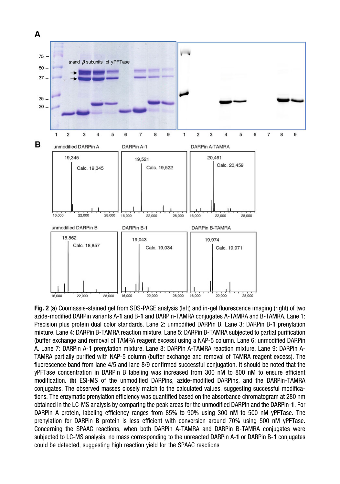

Fig. 2 (a) Coomassie-stained gel from SDS-PAGE analysis (left) and in-gel fluorescence imaging (right) of two azide-modified DARPin variants A-1 and B-1 and DARPin-TAMRA conjugates A-TAMRA and B-TAMRA. Lane 1: Precision plus protein dual color standards. Lane 2: unmodified DARPin B. Lane 3: DARPin B-1 prenylation mixture. Lane 4: DARPin B-TAMRA reaction mixture. Lane 5: DARPin B-TAMRA subjected to partial purification (buffer exchange and removal of TAMRA reagent excess) using a NAP-5 column. Lane 6: unmodified DARPin A. Lane 7: DARPin A-1 prenylation mixture. Lane 8: DARPin A-TAMRA reaction mixture. Lane 9: DARPin A-TAMRA partially purified with NAP-5 column (buffer exchange and removal of TAMRA reagent excess). The fluorescence band from lane 4/5 and lane 8/9 confirmed successful conjugation. It should be noted that the yPFTase concentration in DARPin B labeling was increased from 300 nM to 800 nM to ensure efficient modification. (b) ESI-MS of the unmodified DARPins, azide-modified DARPins, and the DARPin-TAMRA conjugates. The observed masses closely match to the calculated values, suggesting successful modifications. The enzymatic prenylation efficiency was quantified based on the absorbance chromatogram at 280 nm obtained in the LC-MS analysis by comparing the peak areas for the unmodified DARPin and the DARPin-1. For DARPin A protein, labeling efficiency ranges from 85% to 90% using 300 nM to 500 nM yPFTase. The prenylation for DARPin B protein is less efficient with conversion around 70% using 500 nM yPFTase. Concerning the SPAAC reactions, when both DARPin A-TAMRA and DARPin B-TAMRA conjugates were subjected to LC-MS analysis, no mass corresponding to the unreacted DARPin A-1 or DARPin B-1 conjugates could be detected, suggesting high reaction yield for the SPAAC reactions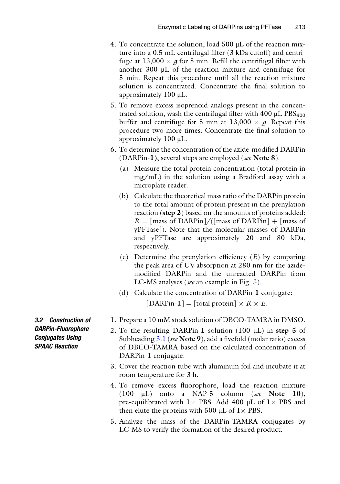- 4. To concentrate the solution, load 500 μL of the reaction mixture into a 0.5 mL centrifugal filter (3 kDa cutoff) and centrifuge at  $13,000 \times g$  for 5 min. Refill the centrifugal filter with<br>another 300 uL of the reaction mixture and centrifuge for another 300 μL of the reaction mixture and centrifuge for 5 min. Repeat this procedure until all the reaction mixture solution is concentrated. Concentrate the final solution to approximately 100 μL.
- 5. To remove excess isoprenoid analogs present in the concentrated solution, wash the centrifugal filter with  $400 \mu L$  PBS<sub>400</sub> buffer and centrifuge for 5 min at  $13,000 \times g$ . Repeat this<br>procedure two more times. Concentrate the final solution to procedure two more times. Concentrate the final solution to approximately 100 μL.
- 6. To determine the concentration of the azide-modified DARPin (DARPin-1), several steps are employed (see Note 8).
	- (a) Measure the total protein concentration (total protein in mg/mL) in the solution using a Bradford assay with a microplate reader.
	- (b) Calculate the theoretical mass ratio of the DARPin protein to the total amount of protein present in the prenylation reaction (step 2) based on the amounts of proteins added:  $R =$ [mass of DARPin]/([mass of DARPin] + [mass of yPFTase]). Note that the molecular masses of DARPin and yPFTase are approximately 20 and 80 kDa, respectively.
	- (c) Determine the prenylation efficiency  $(E)$  by comparing the peak area of UV absorption at 280 nm for the azidemodified DARPin and the unreacted DARPin from LC-MS analyses (see an example in Fig. 3).
	- (d) Calculate the concentration of DARPin-1 conjugate:

[DARPin-1] = [total protein]  $\times R \times E$ .

- 1. Prepare a 10 mM stock solution of DBCO-TAMRA in DMSO.
- 2. To the resulting DARPin-1 solution (100  $\mu$ L) in step 5 of Subheading 3.1 (see Note 9), add a fivefold (molar ratio) excess of DBCO-TAMRA based on the calculated concentration of DARPin-1 conjugate.
- 3. Cover the reaction tube with aluminum foil and incubate it at room temperature for 3 h.
- 4. To remove excess fluorophore, load the reaction mixture (100  $\mu$ L) onto a NAP-5 column (see Note 10), pre-equilibrated with  $1 \times$  PBS. Add 400  $\mu$ L of  $1 \times$  PBS and then elute the proteins with  $500 \mu L$  of  $1 \times PBS$ .
- 5. Analyze the mass of the DARPin-TAMRA conjugates by LC-MS to verify the formation of the desired product.

3.2 Construction of DARPin-Fluorophore Conjugates Using SPAAC Reaction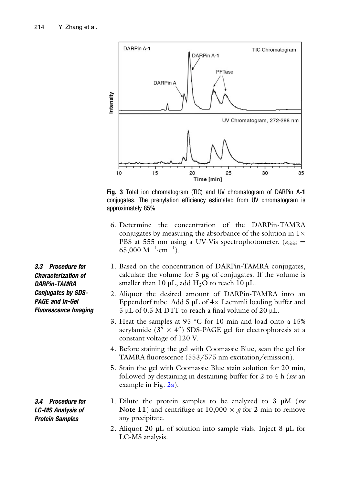

Fig. 3 Total ion chromatogram (TIC) and UV chromatogram of DARPin A-1 conjugates. The prenylation efficiency estimated from UV chromatogram is approximately 85%

- 6. Determine the concentration of the DARPin-TAMRA conjugates by measuring the absorbance of the solution in  $1 \times$ PBS at 555 nm using a UV-Vis spectrophotometer. ( $\varepsilon_{555}$  = 65,000  $M^{-1}$ ·cm<sup>-1</sup>).
- 1. Based on the concentration of DARPin-TAMRA conjugates, calculate the volume for 3 μg of conjugates. If the volume is smaller than 10  $\mu$ L, add H<sub>2</sub>O to reach 10  $\mu$ L.
- 2. Aliquot the desired amount of DARPin-TAMRA into an Eppendorf tube. Add 5  $\mu$ L of 4  $\times$  Laemmli loading buffer and 5 μL of 0.5 M DTT to reach a final volume of 20 μL.
- 3. Heat the samples at 95  $\degree$ C for 10 min and load onto a 15% acrylamide  $(3'' \times 4'')$  SDS-PAGE gel for electrophoresis at a constant voltage of 120 V.
- 4. Before staining the gel with Coomassie Blue, scan the gel for TAMRA fluorescence (553/575 nm excitation/emission).
- 5. Stain the gel with Coomassie Blue stain solution for 20 min, followed by destaining in destaining buffer for 2 to 4 h (see an example in Fig.  $2a$ ).
- 1. Dilute the protein samples to be analyzed to 3  $\mu$ M (see **Note 11**) and centrifuge at  $10,000 \times g$  for 2 min to remove any precipitate.
- 2. Aliquot 20 μL of solution into sample vials. Inject 8 μL for LC-MS analysis.

3.3 Procedure for Characterization of DARPin-TAMRA Conjugates by SDS-PAGE and In-Gel Fluorescence Imaging

3.4 Procedure for LC-MS Analysis of Protein Samples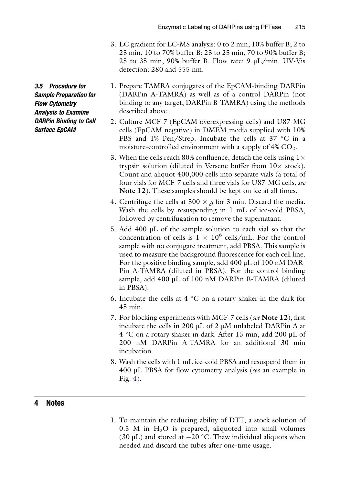- 3. LC gradient for LC-MS analysis: 0 to 2 min, 10% buffer B; 2 to 23 min, 10 to 70% buffer B; 23 to 25 min, 70 to 90% buffer B; 25 to 35 min, 90% buffer B. Flow rate: 9 μL/min. UV-Vis detection: 280 and 555 nm.
- 1. Prepare TAMRA conjugates of the EpCAM-binding DARPin (DARPin A-TAMRA) as well as of a control DARPin (not binding to any target, DARPin B-TAMRA) using the methods described above.
	- 2. Culture MCF-7 (EpCAM overexpressing cells) and U87-MG cells (EpCAM negative) in DMEM media supplied with 10% FBS and 1% Pen/Strep. Incubate the cells at  $37 \text{ °C}$  in a moisture-controlled environment with a supply of  $4\%$  CO<sub>2</sub>.
	- 3. When the cells reach 80% confluence, detach the cells using  $1 \times$ trypsin solution (diluted in Versene buffer from  $10\times$  stock). Count and aliquot 400,000 cells into separate vials (a total of four vials for MCF-7 cells and three vials for U87-MG cells, see Note 12). These samples should be kept on ice at all times.
	- 4. Centrifuge the cells at  $300 \times g$  for 3 min. Discard the media.<br>Wash the cells by resuspending in 1 mL of ice-cold PRSA Wash the cells by resuspending in 1 mL of ice-cold PBSA, followed by centrifugation to remove the supernatant.
	- 5. Add 400 μL of the sample solution to each vial so that the concentration of cells is  $1 \times 10^6$  cells/mL. For the control sample with no conjugate treatment, add PBSA. This sample is used to measure the background fluorescence for each cell line. For the positive binding sample, add 400 μL of 100 nM DAR-Pin A-TAMRA (diluted in PBSA). For the control binding sample, add 400 μL of 100 nM DARPin B-TAMRA (diluted in PBSA).
	- 6. Incubate the cells at  $4^{\circ}$ C on a rotary shaker in the dark for 45 min.
	- 7. For blocking experiments with MCF-7 cells (see Note 12), first incubate the cells in 200  $\mu$ L of 2  $\mu$ M unlabeled DARPin A at  $4^{\circ}$ C on a rotary shaker in dark. After 15 min, add 200 µL of 200 nM DARPin A-TAMRA for an additional 30 min incubation.
	- 8. Wash the cells with 1 mL ice-cold PBSA and resuspend them in <sup>400</sup> <sup>μ</sup>L PBSA for flow cytometry analysis (see an example in Fig. 4).

#### 4 Notes

1. To maintain the reducing ability of DTT, a stock solution of  $0.5$  M in  $H<sub>2</sub>O$  is prepared, aliquoted into small volumes (30  $\mu$ L) and stored at  $-20$  °C. Thaw individual aliquots when needed and discard the tubes after one-time usage.

3.5 Procedure for Sample Preparation for Flow Cytometry Analysis to Examine DARPin Binding to Cell Surface EpCAM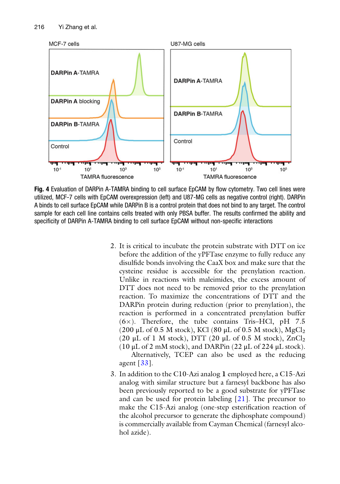

Fig. 4 Evaluation of DARPin A-TAMRA binding to cell surface EpCAM by flow cytometry. Two cell lines were utilized, MCF-7 cells with EpCAM overexpression (left) and U87-MG cells as negative control (right). DARPin A binds to cell surface EpCAM while DARPin B is a control protein that does not bind to any target. The control sample for each cell line contains cells treated with only PBSA buffer. The results confirmed the ability and specificity of DARPin A-TAMRA binding to cell surface EpCAM without non-specific interactions

- 2. It is critical to incubate the protein substrate with DTT on ice before the addition of the yPFTase enzyme to fully reduce any disulfide bonds involving the CaaX box and make sure that the cysteine residue is accessible for the prenylation reaction. Unlike in reactions with maleimides, the excess amount of DTT does not need to be removed prior to the prenylation reaction. To maximize the concentrations of DTT and the DARPin protein during reduction (prior to prenylation), the reaction is performed in a concentrated prenylation buffer  $(6 \times)$ . Therefore, the tube contains Tris–HCl, pH 7.5 (200 μL of 0.5 M stock), KCl (80 μL of 0.5 M stock), MgCl<sub>2</sub> (20 μL of 1 M stock), DTT (20 μL of 0.5 M stock),  $ZnCl<sub>2</sub>$ (10  $\mu$ L of 2 mM stock), and DARPin (22  $\mu$ L of 224  $\mu$ L stock). Alternatively, TCEP can also be used as the reducing agent [33].
- 3. In addition to the C10-Azi analog 1 employed here, a C15-Azi analog with similar structure but a farnesyl backbone has also been previously reported to be a good substrate for yPFTase and can be used for protein labeling  $[21]$ . The precursor to make the C15-Azi analog (one-step esterification reaction of the alcohol precursor to generate the diphosphate compound) is commercially available from Cayman Chemical (farnesyl alcohol azide).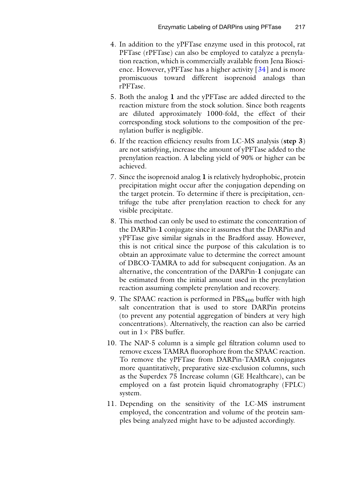- 4. In addition to the yPFTase enzyme used in this protocol, rat PFTase (rPFTase) can also be employed to catalyze a prenylation reaction, which is commercially available from Jena Bioscience. However, yPFTase has a higher activity  $\lceil 34 \rceil$  and is more promiscuous toward different isoprenoid analogs than rPFTase.
- 5. Both the analog 1 and the yPFTase are added directed to the reaction mixture from the stock solution. Since both reagents are diluted approximately 1000-fold, the effect of their corresponding stock solutions to the composition of the prenylation buffer is negligible.
- 6. If the reaction efficiency results from LC-MS analysis (step 3) are not satisfying, increase the amount of yPFTase added to the prenylation reaction. A labeling yield of 90% or higher can be achieved.
- 7. Since the isoprenoid analog 1 is relatively hydrophobic, protein precipitation might occur after the conjugation depending on the target protein. To determine if there is precipitation, centrifuge the tube after prenylation reaction to check for any visible precipitate.
- 8. This method can only be used to estimate the concentration of the DARPin-1 conjugate since it assumes that the DARPin and yPFTase give similar signals in the Bradford assay. However, this is not critical since the purpose of this calculation is to obtain an approximate value to determine the correct amount of DBCO-TAMRA to add for subsequent conjugation. As an alternative, the concentration of the DARPin-1 conjugate can be estimated from the initial amount used in the prenylation reaction assuming complete prenylation and recovery.
- 9. The SPAAC reaction is performed in  $\text{PBS}_{400}$  buffer with high salt concentration that is used to store DARPin proteins (to prevent any potential aggregation of binders at very high concentrations). Alternatively, the reaction can also be carried out in  $1 \times$  PBS buffer.
- 10. The NAP-5 column is a simple gel filtration column used to remove excess TAMRA fluorophore from the SPAAC reaction. To remove the yPFTase from DARPin-TAMRA conjugates more quantitatively, preparative size-exclusion columns, such as the Superdex 75 Increase column (GE Healthcare), can be employed on a fast protein liquid chromatography (FPLC) system.
- 11. Depending on the sensitivity of the LC-MS instrument employed, the concentration and volume of the protein samples being analyzed might have to be adjusted accordingly.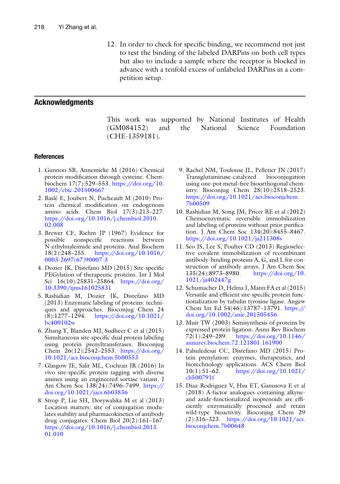12. In order to check for specific binding, we recommend not just to test the binding of the labeled DARPins on both cell types but also to include a sample where the receptor is blocked in advance with a tenfold excess of unlabeled DARPins in a competition setup.

#### Acknowledgments

This work was supported by National Institutes of Health (GM084152) and the National Science Foundation (CHE-1359181).

#### References

- 1. Gunnoo SB, Annemieke M (2016) Chemical protein modification through cysteine. Chembiochem 17(7):529–553. [https://doi.org/10.](https://doi.org/10.1002/cbic.201500667) [1002/cbic.201500667](https://doi.org/10.1002/cbic.201500667)
- 2. Baslé E, Joubert N, Pucheault M (2010) Protein chemical modification on endogenous amino acids. Chem Biol 17(3):213–227. [https://doi.org/10.1016/j.chembiol.2010.](https://doi.org/10.1016/j.chembiol.2010.02.008) [02.008](https://doi.org/10.1016/j.chembiol.2010.02.008)
- 3. Brewer CF, Riehm JP (1967) Evidence for possible nonspecific reactions between N-ethylmaleimide and proteins. Anal Biochem 18(2):248–255. [https://doi.org/10.1016/](https://doi.org/10.1016/0003-2697(67)90007-3) [0003-2697\(67\)90007-3](https://doi.org/10.1016/0003-2697(67)90007-3)
- 4. Dozier JK, Distefano MD (2015) Site-specific PEGylation of therapeutic proteins. Int J Mol Sci 16(10):25831–25864. [https://doi.org/](https://doi.org/10.3390/ijms161025831) [10.3390/ijms161025831](https://doi.org/10.3390/ijms161025831)
- 5. Rashidian M, Dozier JK, Distefano MD (2013) Enzymatic labeling of proteins: techniques and approaches. Bioconjug Chem 24 (8):1277–1294. [https://doi.org/10.1021/](https://doi.org/10.1021/bc400102w) [bc400102w](https://doi.org/10.1021/bc400102w)
- 6. Zhang Y, Blanden MJ, Sudheer C et al (2015) Simultaneous site-specific dual protein labeling using protein prenyltransferases. Bioconjug Chem 26(12):2542–2553. [https://doi.org/](https://doi.org/10.1021/acs.bioconjchem.5b00553) [10.1021/acs.bioconjchem.5b00553](https://doi.org/10.1021/acs.bioconjchem.5b00553)
- 7. Glasgow JE, Salit ML, Cochran JR (2016) In vivo site-specific protein tagging with diverse amines using an engineered sortase variant. J Am Chem Soc 138(24):7496–7499. [https://](https://doi.org/10.1021/jacs.6b03836) [doi.org/10.1021/jacs.6b03836](https://doi.org/10.1021/jacs.6b03836)
- 8. Strop P, Liu SH, Dorywalska M et al (2013) Location matters: site of conjugation modulates stability and pharmacokinetics of antibody drug conjugates. Chem Biol 20(2):161–167. [https://doi.org/10.1016/j.chembiol.2013.](https://doi.org/10.1016/j.chembiol.2013.01.010) [01.010](https://doi.org/10.1016/j.chembiol.2013.01.010)
- 9. Rachel NM, Toulouse JL, Pelletier JN (2017) Transglutaminase-catalyzed bioconjugation using one-pot metal-free bioorthogonal chemistry. Bioconjug Chem 28(10):2518–2523. [https://doi.org/10.1021/acs.bioconjchem.](https://doi.org/10.1021/acs.bioconjchem.7b00509) [7b00509](https://doi.org/10.1021/acs.bioconjchem.7b00509)
- 10. Rashidian M, Song JM, Pricer RE et al (2012) Chemoenzymatic reversible immobilization and labeling of proteins without prior purification. J Am Chem Soc 134(20):8455–8467. <https://doi.org/10.1021/ja211308s>
- 11. Seo JS, Lee S, Poulter CD (2013) Regioselective covalent immobilization of recombinant antibody-binding proteins A, G, and L for construction of antibody arrays. J Am Chem Soc 135(24):8973–8980. [https://doi.org/10.](https://doi.org/10.1021/ja402447g) [1021/ja402447g](https://doi.org/10.1021/ja402447g)
- 12. Schumacher D, Helma J, Mann FA et al (2015) Versatile and efficient site-specific protein functionalization by tubulin tyrosine ligase. Angew Chem Int Ed 54(46):13787–13791. [https://](https://doi.org/10.1002/anie.201505456) [doi.org/10.1002/anie.201505456](https://doi.org/10.1002/anie.201505456)
- 13. Muir TW (2003) Semisynthesis of proteins by expressed protein ligation. Annu Rev Biochem 72(1):249–289. [https://doi.org/10.1146/](https://doi.org/10.1146/annurev.biochem.72.121801.161900) [annurev.biochem.72.121801.161900](https://doi.org/10.1146/annurev.biochem.72.121801.161900)
- 14. Palsuledesai CC, Distefano MD (2015) Protein prenylation: enzymes, therapeutics, and biotechnology applications. ACS Chem Biol 10(1):51–62. [https://doi.org/10.1021/](https://doi.org/10.1021/cb500791f) [cb500791f](https://doi.org/10.1021/cb500791f)
- 15. Diaz-Rodriguez V, Hsu ET, Ganusova E et al (2018) A-factor analogues containing alkyneand azide-functionalized isoprenoids are efficiently enzymatically processed and retain wild-type bioactivity. Bioconjug Chem 29 (2):316–323. [https://doi.org/10.1021/acs.](https://doi.org/10.1021/acs.bioconjchem.7b00648) [bioconjchem.7b00648](https://doi.org/10.1021/acs.bioconjchem.7b00648)